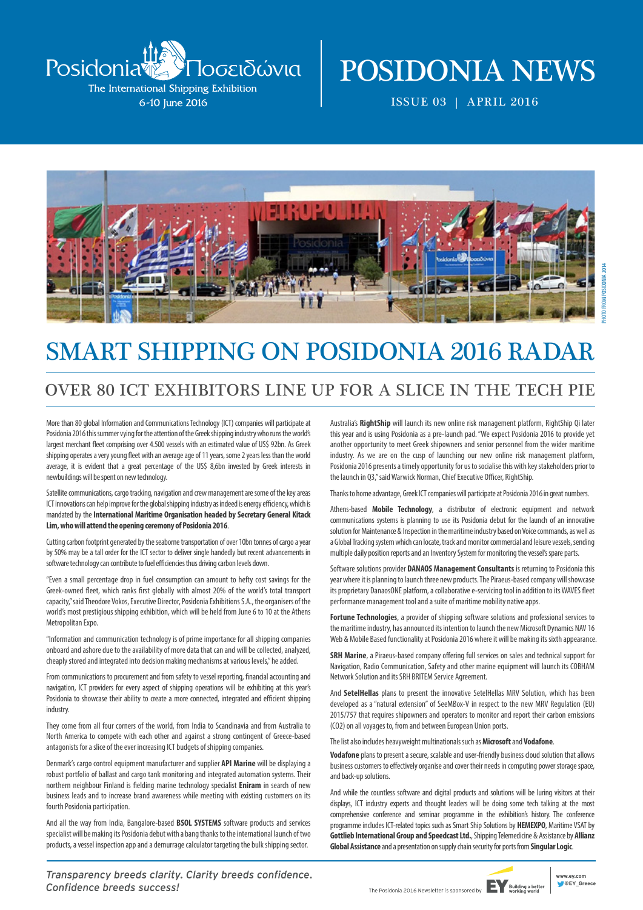

The International Shipping Exhibition 6-10 June 2016

# POSIDONIA NEWS

ISSUE 03 | APRIL 2016



# SMART SHIPPING ON POSIDONIA 2016 RADAR

## OVER 80 ICT EXHIBITORS LINE UP FOR A SLICE IN THE TECH PIE

More than 80 global Information and Communications Technology (ICT) companies will participate at Posidonia 2016 this summer vying for the attention of the Greek shipping industry who runs the world's largest merchant fleet comprising over 4.500 vessels with an estimated value of US\$ 92bn. As Greek shipping operates a very young fleet with an average age of 11 years, some 2 years less than the world average, it is evident that a great percentage of the US\$ 8,6bn invested by Greek interests in newbuildings will be spent on new technology.

Satellite communications, cargo tracking, navigation and crew management are some of the key areas ICT innovations can help improve for the global shipping industry as indeed is energy efficiency, which is mandated by the **International Maritime Organisation headed by Secretary General Kitack Lim, who will attend the opening ceremony of Posidonia 2016**.

Cutting carbon footprint generated by the seaborne transportation of over 10bn tonnes of cargo a year by 50% may be a tall order for the ICT sector to deliver single handedly but recent advancements in software technology can contribute to fuel efficiencies thus driving carbon levels down.

"Even a small percentage drop in fuel consumption can amount to hefty cost savings for the Greek-owned fleet, which ranks first globally with almost 20% of the world's total transport capacity," said Theodore Vokos, Executive Director, Posidonia Exhibitions S.A., the organisers of the world's most prestigious shipping exhibition, which will be held from June 6 to 10 at the Athens Metropolitan Expo.

"Information and communication technology is of prime importance for all shipping companies onboard and ashore due to the availability of more data that can and will be collected, analyzed, cheaply stored and integrated into decision making mechanisms at various levels," he added.

From communications to procurement and from safety to vessel reporting, financial accounting and navigation, ICT providers for every aspect of shipping operations will be exhibiting at this year's Posidonia to showcase their ability to create a more connected, integrated and efficient shipping industry.

They come from all four corners of the world, from India to Scandinavia and from Australia to North America to compete with each other and against a strong contingent of Greece-based antagonists for a slice of the ever increasing ICT budgets of shipping companies.

Denmark's cargo control equipment manufacturer and supplier **API Marine** will be displaying a robust portfolio of ballast and cargo tank monitoring and integrated automation systems. Their northern neighbour Finland is fielding marine technology specialist *Eniram* in search of new business leads and to increase brand awareness while meeting with existing customers on its fourth Posidonia participation.

And all the way from India, Bangalore-based **BSOL SYSTEMS** software products and services specialist will be making its Posidonia debut with a bang thanks to the international launch of two products, a vessel inspection app and a demurrage calculator targeting the bulk shipping sector.

Australia's **RightShip** will launch its new online risk management platform, RightShip Qi later this year and is using Posidonia as a pre-launch pad. "We expect Posidonia 2016 to provide yet another opportunity to meet Greek shipowners and senior personnel from the wider maritime industry. As we are on the cusp of launching our new online risk management platform, Posidonia 2016 presents a timely opportunity for us to socialise this with key stakeholders prior to the launch in Q3," said Warwick Norman, Chief Executive Officer, RightShip.

Thanks to home advantage, Greek ICT companies will participate at Posidonia 2016 in great numbers.

Athens-based **Mobile Technology**, a distributor of electronic equipment and network communications systems is planning to use its Posidonia debut for the launch of an innovative solution for Maintenance & Inspection in the maritime industry based on Voice commands, as well as a Global Tracking system which can locate, track and monitor commercial and leisure vessels, sending multiple daily position reports and an Inventory System for monitoring the vessel's spare parts.

Software solutions provider **DANAOS Management Consultants** is returning to Posidonia this year where it is planning to launch three new products. The Piraeus-based company will showcase its proprietary DanaosONE platform, a collaborative e-servicing tool in addition to its WAVES fleet performance management tool and a suite of maritime mobility native apps.

**Fortune Technologies**, a provider of shipping software solutions and professional services to the maritime industry, has announced its intention to launch the new Microsoft Dynamics NAV 16 Web & Mobile Based functionality at Posidonia 2016 where it will be making its sixth appearance.

**SRH Marine**, a Piraeus-based company offering full services on sales and technical support for Navigation, Radio Communication, Safety and other marine equipment will launch its COBHAM Network Solution and its SRH BRITEM Service Agreement.

And **SetelHellas** plans to present the innovative SetelHellas MRV Solution, which has been developed as a "natural extension" of SeeMBox-V in respect to the new MRV Regulation (EU) 2015/757 that requires shipowners and operators to monitor and report their carbon emissions (CO2) on all voyages to, from and between European Union ports.

The list also includes heavyweight multinationals such as **Microsoft** and **Vodafone**.

**Vodafone** plans to present a secure, scalable and user-friendly business cloud solution that allows business customers to effectively organise and cover their needs in computing power storage space, and back-up solutions.

And while the countless software and digital products and solutions will be luring visitors at their displays, ICT industry experts and thought leaders will be doing some tech talking at the most comprehensive conference and seminar programme in the exhibition's history. The conference programme includes ICT-related topics such as Smart Ship Solutions by **HEMEXPO**, Maritime VSAT by **Gottlieb International Group and Speedcast Ltd.**, Shipping Telemedicine & Assistance by **Allianz Global Assistance** and a presentation on supply chain security for ports from **Singular Logic**.

Transparency breeds clarity. Clarity breeds confidence. Confidence breeds success!

The Posidonia 2016 Newsletter is sponsored by **Example 2016** Building a better

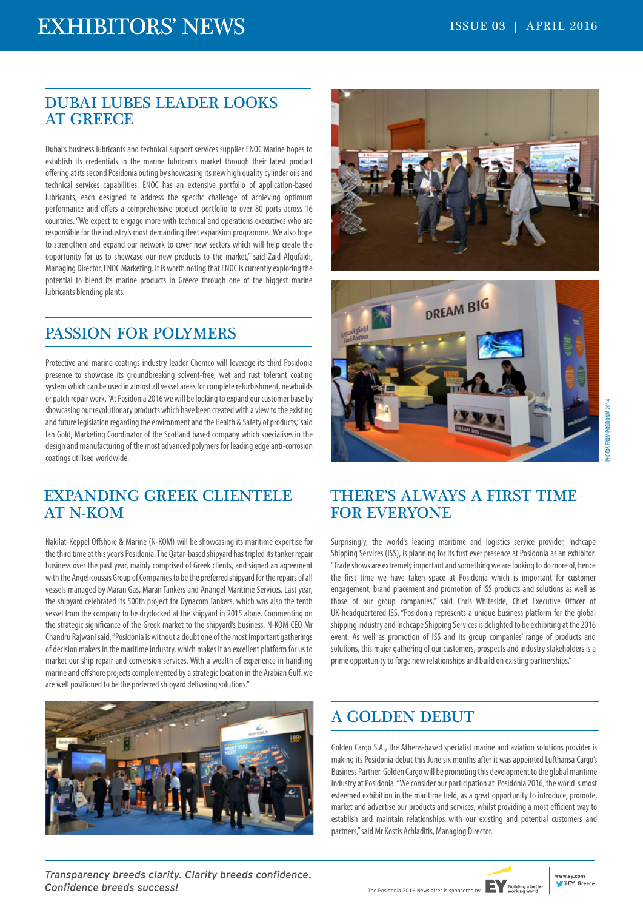# EXHIBITORS' NEWS ISSUE 03 | APRIL 2016

#### DUBAI LUBES LEADER LOOKS AT GREECE

Dubai's business lubricants and technical support services supplier ENOC Marine hopes to establish its credentials in the marine lubricants market through their latest product offering at its second Posidonia outing by showcasing its new high quality cylinder oils and technical services capabilities. ENOC has an extensive portfolio of application-based lubricants, each designed to address the specific challenge of achieving optimum performance and offers a comprehensive product portfolio to over 80 ports across 16 countries. "We expect to engage more with technical and operations executives who are responsible for the industry's most demanding fleet expansion programme. We also hope to strengthen and expand our network to cover new sectors which will help create the opportunity for us to showcase our new products to the market," said Zaid Alqufaidi, Managing Director, ENOC Marketing. It is worth noting that ENOC is currently exploring the potential to blend its marine products in Greece through one of the biggest marine lubricants blending plants.

### PASSION FOR POLYMERS

Protective and marine coatings industry leader Chemco will leverage its third Posidonia presence to showcase its groundbreaking solvent-free, wet and rust tolerant coating system which can be used in almost all vessel areas for complete refurbishment, newbuilds or patch repair work. "At Posidonia 2016 we will be looking to expand our customer base by showcasing our revolutionary products which have been created with a view to the existing and future legislation regarding the environment and the Health & Safety of products," said Ian Gold, Marketing Coordinator of the Scotland based company which specialises in the design and manufacturing of the most advanced polymers for leading edge anti-corrosion coatings utilised worldwide.

#### EXPANDING GREEK CLIENTELE AT N-KOM

Nakilat-Keppel Offshore & Marine (N-KOM) will be showcasing its maritime expertise for the third time at this year's Posidonia. The Qatar-based shipyard has tripled its tanker repair business over the past year, mainly comprised of Greek clients, and signed an agreement with the Angelicoussis Group of Companies to be the preferred shipyard for the repairs of all vessels managed by Maran Gas, Maran Tankers and Anangel Maritime Services. Last year, the shipyard celebrated its 500th project for Dynacom Tankers, which was also the tenth vessel from the company to be drydocked at the shipyard in 2015 alone. Commenting on the strategic significance of the Greek market to the shipyard's business, N-KOM CEO Mr Chandru Rajwani said, "Posidonia is without a doubt one of the most important gatherings of decision makers in the maritime industry, which makes it an excellent platform for us to market our ship repair and conversion services. With a wealth of experience in handling marine and offshore projects complemented by a strategic location in the Arabian Gulf, we are well positioned to be the preferred shipyard delivering solutions."



Transparency breeds clarity. Clarity breeds confidence. Confidence breeds success!





#### THERE'S ALWAYS A FIRST TIME FOR EVERYONE

Surprisingly, the world's leading maritime and logistics service provider, Inchcape Shipping Services (ISS), is planning for its first ever presence at Posidonia as an exhibitor. "Trade shows are extremely important and something we are looking to do more of, hence the first time we have taken space at Posidonia which is important for customer engagement, brand placement and promotion of ISS products and solutions as well as those of our group companies," said Chris Whiteside, Chief Executive Officer of UK-headquartered ISS. "Posidonia represents a unique business platform for the global shipping industry and Inchcape Shipping Services is delighted to be exhibiting at the 2016 event. As well as promotion of ISS and its group companies' range of products and solutions, this major gathering of our customers, prospects and industry stakeholders is a prime opportunity to forge new relationships and build on existing partnerships."

### A GOLDEN DEBUT

Golden Cargo S.A., the Athens-based specialist marine and aviation solutions provider is making its Posidonia debut this June six months after it was appointed Lufthansa Cargo's Business Partner. Golden Cargo will be promoting this development to the global maritime industry at Posidonia. "We consider our participation at Posidonia 2016, the world`s most esteemed exhibition in the maritime field, as a great opportunity to introduce, promote, market and advertise our products and services, whilst providing a most efficient way to establish and maintain relationships with our existing and potential customers and partners," said Mr Kostis Achladitis, Managing Director.